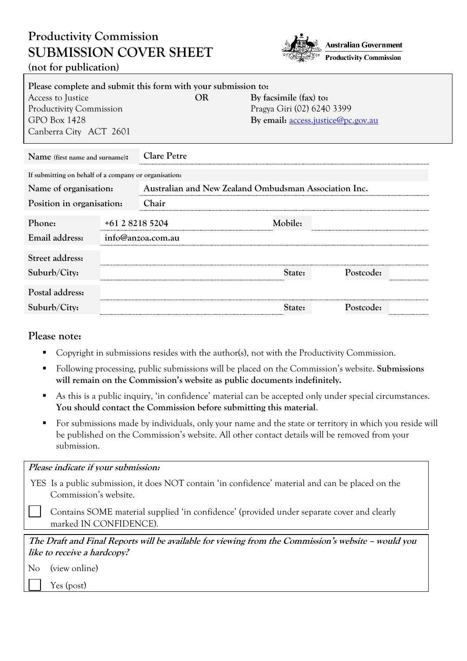# **Productivity Commission SUBMISSION COVER SHEET (not for publication)**



| Please complete and submit this form with your submission to: |                 |                    |           |                                                       |                                           |  |
|---------------------------------------------------------------|-----------------|--------------------|-----------|-------------------------------------------------------|-------------------------------------------|--|
| Access to Justice                                             |                 |                    | <b>OR</b> | By facsimile (fax) to:                                |                                           |  |
| <b>Productivity Commission</b>                                |                 |                    |           | Pragya Giri (02) 6240 3399                            |                                           |  |
| <b>GPO Box 1428</b>                                           |                 |                    |           |                                                       | By email: <u>access.justice@pc.gov.au</u> |  |
| Canberra City ACT 2601                                        |                 |                    |           |                                                       |                                           |  |
| Name (first name and surname):                                |                 | <b>Clare Petre</b> |           |                                                       |                                           |  |
| If submitting on behalf of a company or organisation:         |                 |                    |           |                                                       |                                           |  |
| Name of organisation:                                         |                 |                    |           | Australian and New Zealand Ombudsman Association Inc. |                                           |  |
| Position in organisation:                                     |                 | Chair              |           |                                                       |                                           |  |
| Phone:                                                        | +61 2 8218 5204 |                    |           | Mobile:                                               |                                           |  |
| Email address:                                                |                 | info@anzoa.com.au  |           |                                                       |                                           |  |
| Street address:                                               |                 |                    |           |                                                       |                                           |  |
| Suburb/City:                                                  |                 |                    |           | State:                                                | Postcode:                                 |  |
| Postal address:                                               |                 |                    |           |                                                       |                                           |  |
| Suburb/City:                                                  |                 |                    |           | State:                                                | Postcode:                                 |  |

## **Please note:**

- [Copyright](http://www.pc.gov.au/legal/copyright.html) in submissions resides with the author(s), not with the Productivity Commission.
- Following processing, public submissions will be placed on the Commission's website. **Submissions will remain on the Commission's website as public documents indefinitely.**
- As this is a public inquiry, 'in confidence' material can be accepted only under special circumstances. **You should contact the Commission before submitting this material**.
- For submissions made by individuals, only your name and the state or territory in which you reside will be published on the Commission's website. All other contact details will be removed from your submission.

| Please indicate if your submission:                                                               |
|---------------------------------------------------------------------------------------------------|
| YES Is a public submission, it does NOT contain 'in confidence' material and can be placed on the |
| Commission's website.                                                                             |

Contains SOME material supplied 'in confidence' (provided under separate cover and clearly marked IN CONFIDENCE).

**The Draft and Final Reports will be available for viewing from the Commission's website – would you like to receive a hardcopy?**

| No | (view online) |  |
|----|---------------|--|
|    |               |  |

Yes (post)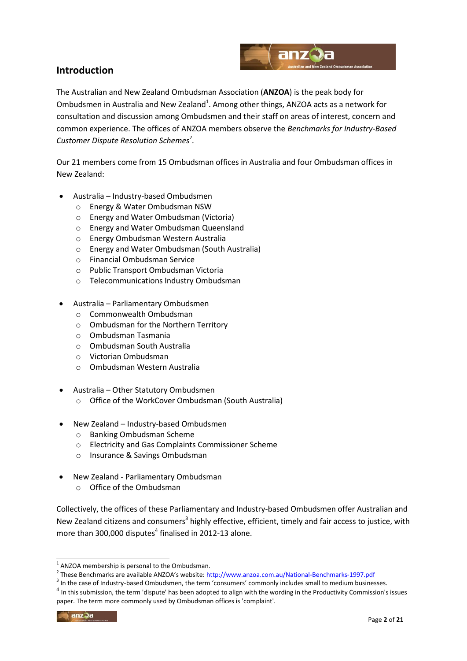

# **Introduction**

The Australian and New Zealand Ombudsman Association (**ANZOA**) is the peak body for Ombudsmen in Australia and New Zealand<sup>1</sup>. Among other things, ANZOA acts as a network for consultation and discussion among Ombudsmen and their staff on areas of interest, concern and common experience. The offices of ANZOA members observe the *Benchmarks for Industry-Based*  Customer Dispute Resolution Schemes<sup>2</sup>.

Our 21 members come from 15 Ombudsman offices in Australia and four Ombudsman offices in New Zealand:

- Australia Industry-based Ombudsmen
	- o Energy & Water Ombudsman NSW
	- o Energy and Water Ombudsman (Victoria)
	- o Energy and Water Ombudsman Queensland
	- o Energy Ombudsman Western Australia
	- o Energy and Water Ombudsman (South Australia)
	- o Financial Ombudsman Service
	- o Public Transport Ombudsman Victoria
	- o Telecommunications Industry Ombudsman
- Australia Parliamentary Ombudsmen
	- o Commonwealth Ombudsman
	- o Ombudsman for the Northern Territory
	- o Ombudsman Tasmania
	- o Ombudsman South Australia
	- o Victorian Ombudsman
	- o Ombudsman Western Australia
- Australia Other Statutory Ombudsmen
	- o Office of the WorkCover Ombudsman (South Australia)
- New Zealand Industry-based Ombudsmen
	- o Banking Ombudsman Scheme
	- o Electricity and Gas Complaints Commissioner Scheme
	- o Insurance & Savings Ombudsman
- New Zealand Parliamentary Ombudsman
	- o Office of the Ombudsman

Collectively, the offices of these Parliamentary and Industry-based Ombudsmen offer Australian and New Zealand citizens and consumers<sup>3</sup> highly effective, efficient, timely and fair access to justice, with more than 300,000 disputes $^4$  finalised in 2012-13 alone.

-

<sup>&</sup>lt;sup>1</sup> ANZOA membership is personal to the Ombudsman.

<sup>&</sup>lt;sup>2</sup> These Benchmarks are available ANZOA's website: <http://www.anzoa.com.au/National-Benchmarks-1997.pdf>

<sup>&</sup>lt;sup>3</sup> In the case of Industry-based Ombudsmen, the term 'consumers' commonly includes small to medium businesses.

 $^4$  In this submission, the term 'dispute' has been adopted to align with the wording in the Productivity Commission's issues paper. The term more commonly used by Ombudsman offices is 'complaint'.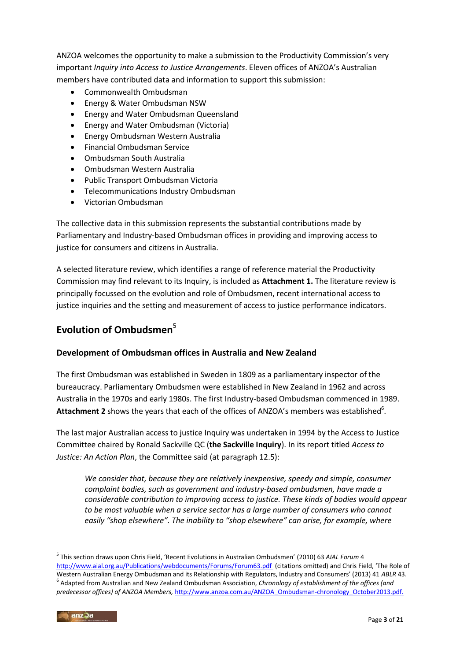ANZOA welcomes the opportunity to make a submission to the Productivity Commission's very important *Inquiry into Access to Justice Arrangements*. Eleven offices of ANZOA's Australian members have contributed data and information to support this submission:

- Commonwealth Ombudsman
- Energy & Water Ombudsman NSW
- Energy and Water Ombudsman Queensland
- Energy and Water Ombudsman (Victoria)
- Energy Ombudsman Western Australia
- Financial Ombudsman Service
- Ombudsman South Australia
- Ombudsman Western Australia
- Public Transport Ombudsman Victoria
- Telecommunications Industry Ombudsman
- Victorian Ombudsman

The collective data in this submission represents the substantial contributions made by Parliamentary and Industry-based Ombudsman offices in providing and improving access to justice for consumers and citizens in Australia.

A selected literature review, which identifies a range of reference material the Productivity Commission may find relevant to its Inquiry, is included as **Attachment 1.** The literature review is principally focussed on the evolution and role of Ombudsmen, recent international access to justice inquiries and the setting and measurement of access to justice performance indicators.

# Evolution of Ombudsmen<sup>5</sup>

#### **Development of Ombudsman offices in Australia and New Zealand**

The first Ombudsman was established in Sweden in 1809 as a parliamentary inspector of the bureaucracy. Parliamentary Ombudsmen were established in New Zealand in 1962 and across Australia in the 1970s and early 1980s. The first Industry-based Ombudsman commenced in 1989. Attachment 2 shows the years that each of the offices of ANZOA's members was established<sup>6</sup>.

The last major Australian access to justice Inquiry was undertaken in 1994 by the Access to Justice Committee chaired by Ronald Sackville QC (**the Sackville Inquiry**). In its report titled *Access to Justice: An Action Plan*, the Committee said (at paragraph 12.5):

*We consider that, because they are relatively inexpensive, speedy and simple, consumer complaint bodies, such as government and industry-based ombudsmen, have made a considerable contribution to improving access to justice. These kinds of bodies would appear to be most valuable when a service sector has a large number of consumers who cannot easily "shop elsewhere". The inability to "shop elsewhere" can arise, for example, where* 

1

<sup>5</sup> This section draws upon Chris Field, 'Recent Evolutions in Australian Ombudsmen' (2010) 63 *AIAL Forum* 4 [http://www.aial.org.au/Publications/webdocuments/Forums/Forum63.pdf \(](http://www.aial.org.au/Publications/webdocuments/Forums/Forum63.pdf)citations omitted) and Chris Field, 'The Role of Western Australian Energy Ombudsman and its Relationship with Regulators, Industry and Consumers' (2013) 41 *ABLR* 43. 6 Adapted from Australian and New Zealand Ombudsman Association, *Chronology of establishment of the offices (and predecessor offices) of ANZOA Members,* [http://www.anzoa.com.au/ANZOA\\_Ombudsman-chronology\\_October2013.pdf.](http://www.anzoa.com.au/ANZOA_Ombudsman-chronology_October2013.pdf)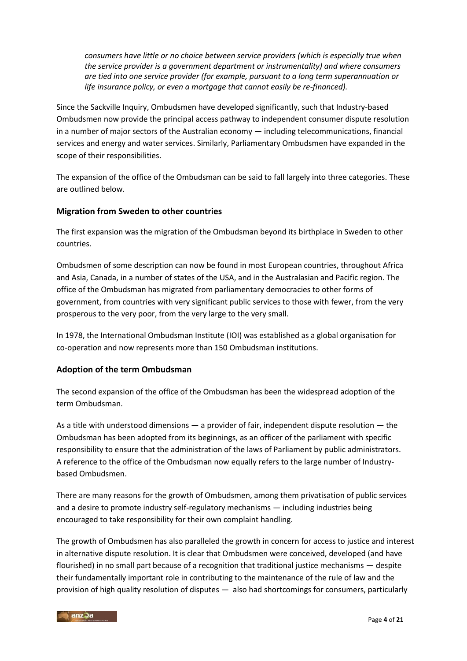*consumers have little or no choice between service providers (which is especially true when the service provider is a government department or instrumentality) and where consumers are tied into one service provider (for example, pursuant to a long term superannuation or life insurance policy, or even a mortgage that cannot easily be re-financed).*

Since the Sackville Inquiry, Ombudsmen have developed significantly, such that Industry-based Ombudsmen now provide the principal access pathway to independent consumer dispute resolution in a number of major sectors of the Australian economy — including telecommunications, financial services and energy and water services. Similarly, Parliamentary Ombudsmen have expanded in the scope of their responsibilities.

The expansion of the office of the Ombudsman can be said to fall largely into three categories. These are outlined below.

#### **Migration from Sweden to other countries**

The first expansion was the migration of the Ombudsman beyond its birthplace in Sweden to other countries.

Ombudsmen of some description can now be found in most European countries, throughout Africa and Asia, Canada, in a number of states of the USA, and in the Australasian and Pacific region. The office of the Ombudsman has migrated from parliamentary democracies to other forms of government, from countries with very significant public services to those with fewer, from the very prosperous to the very poor, from the very large to the very small.

In 1978, the International Ombudsman Institute (IOI) was established as a global organisation for co-operation and now represents more than 150 Ombudsman institutions.

#### **Adoption of the term Ombudsman**

The second expansion of the office of the Ombudsman has been the widespread adoption of the term Ombudsman.

As a title with understood dimensions — a provider of fair, independent dispute resolution — the Ombudsman has been adopted from its beginnings, as an officer of the parliament with specific responsibility to ensure that the administration of the laws of Parliament by public administrators. A reference to the office of the Ombudsman now equally refers to the large number of Industrybased Ombudsmen.

There are many reasons for the growth of Ombudsmen, among them privatisation of public services and a desire to promote industry self-regulatory mechanisms — including industries being encouraged to take responsibility for their own complaint handling.

The growth of Ombudsmen has also paralleled the growth in concern for access to justice and interest in alternative dispute resolution. It is clear that Ombudsmen were conceived, developed (and have flourished) in no small part because of a recognition that traditional justice mechanisms — despite their fundamentally important role in contributing to the maintenance of the rule of law and the provision of high quality resolution of disputes — also had shortcomings for consumers, particularly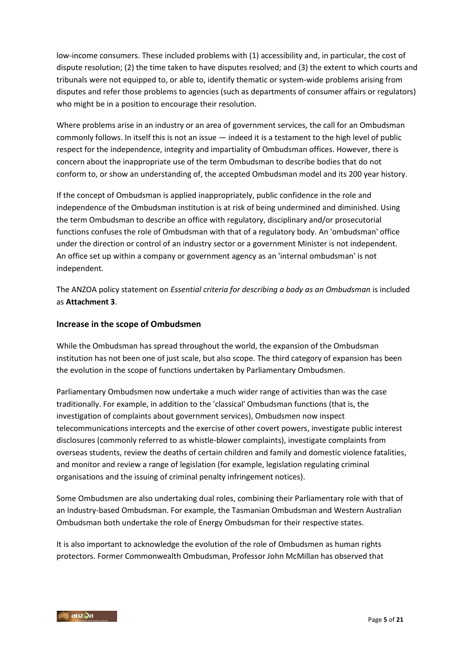low-income consumers. These included problems with (1) accessibility and, in particular, the cost of dispute resolution; (2) the time taken to have disputes resolved; and (3) the extent to which courts and tribunals were not equipped to, or able to, identify thematic or system-wide problems arising from disputes and refer those problems to agencies (such as departments of consumer affairs or regulators) who might be in a position to encourage their resolution.

Where problems arise in an industry or an area of government services, the call for an Ombudsman commonly follows. In itself this is not an issue — indeed it is a testament to the high level of public respect for the independence, integrity and impartiality of Ombudsman offices. However, there is concern about the inappropriate use of the term Ombudsman to describe bodies that do not conform to, or show an understanding of, the accepted Ombudsman model and its 200 year history.

If the concept of Ombudsman is applied inappropriately, public confidence in the role and independence of the Ombudsman institution is at risk of being undermined and diminished. Using the term Ombudsman to describe an office with regulatory, disciplinary and/or prosecutorial functions confuses the role of Ombudsman with that of a regulatory body. An 'ombudsman' office under the direction or control of an industry sector or a government Minister is not independent. An office set up within a company or government agency as an 'internal ombudsman' is not independent.

The ANZOA policy statement on *Essential criteria for describing a body as an Ombudsman* is included as **Attachment 3**.

#### **Increase in the scope of Ombudsmen**

While the Ombudsman has spread throughout the world, the expansion of the Ombudsman institution has not been one of just scale, but also scope. The third category of expansion has been the evolution in the scope of functions undertaken by Parliamentary Ombudsmen.

Parliamentary Ombudsmen now undertake a much wider range of activities than was the case traditionally. For example, in addition to the 'classical' Ombudsman functions (that is, the investigation of complaints about government services), Ombudsmen now inspect telecommunications intercepts and the exercise of other covert powers, investigate public interest disclosures (commonly referred to as whistle-blower complaints), investigate complaints from overseas students, review the deaths of certain children and family and domestic violence fatalities, and monitor and review a range of legislation (for example, legislation regulating criminal organisations and the issuing of criminal penalty infringement notices).

Some Ombudsmen are also undertaking dual roles, combining their Parliamentary role with that of an Industry-based Ombudsman. For example, the Tasmanian Ombudsman and Western Australian Ombudsman both undertake the role of Energy Ombudsman for their respective states.

It is also important to acknowledge the evolution of the role of Ombudsmen as human rights protectors. Former Commonwealth Ombudsman, Professor John McMillan has observed that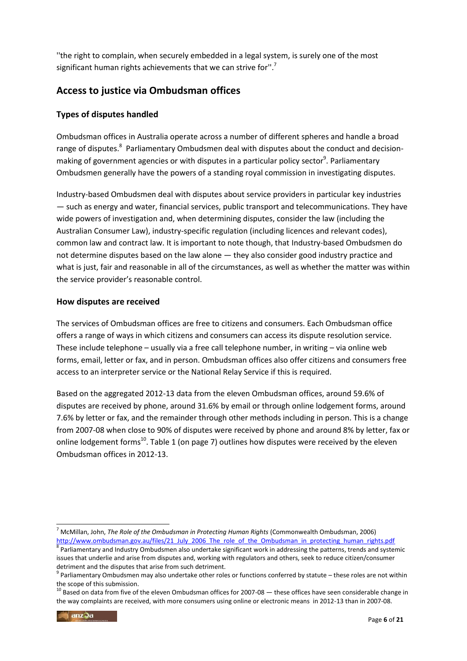''the right to complain, when securely embedded in a legal system, is surely one of the most significant human rights achievements that we can strive for".<sup>7</sup>

# **Access to justice via Ombudsman offices**

## **Types of disputes handled**

Ombudsman offices in Australia operate across a number of different spheres and handle a broad range of disputes.<sup>8</sup> Parliamentary Ombudsmen deal with disputes about the conduct and decisionmaking of government agencies or with disputes in a particular policy sector<sup>9</sup>. Parliamentary Ombudsmen generally have the powers of a standing royal commission in investigating disputes.

Industry-based Ombudsmen deal with disputes about service providers in particular key industries — such as energy and water, financial services, public transport and telecommunications. They have wide powers of investigation and, when determining disputes, consider the law (including the Australian Consumer Law), industry-specific regulation (including licences and relevant codes), common law and contract law. It is important to note though, that Industry-based Ombudsmen do not determine disputes based on the law alone — they also consider good industry practice and what is just, fair and reasonable in all of the circumstances, as well as whether the matter was within the service provider's reasonable control.

#### **How disputes are received**

The services of Ombudsman offices are free to citizens and consumers. Each Ombudsman office offers a range of ways in which citizens and consumers can access its dispute resolution service. These include telephone – usually via a free call telephone number, in writing – via online web forms, email, letter or fax, and in person. Ombudsman offices also offer citizens and consumers free access to an interpreter service or the National Relay Service if this is required.

Based on the aggregated 2012-13 data from the eleven Ombudsman offices, around 59.6% of disputes are received by phone, around 31.6% by email or through online lodgement forms, around 7.6% by letter or fax, and the remainder through other methods including in person. This is a change from 2007-08 when close to 90% of disputes were received by phone and around 8% by letter, fax or online lodgement forms<sup>10</sup>. Table 1 (on page 7) outlines how disputes were received by the eleven Ombudsman offices in 2012-13.

<sup>-</sup><sup>7</sup> McMillan, John, *The Role of the Ombudsman in Protecting Human Rights* (Commonwealth Ombudsman, 2006) [http://www.ombudsman.gov.au/files/21\\_July\\_2006\\_The\\_role\\_of\\_the\\_Ombudsman\\_in\\_protecting\\_human\\_rights.pdf](http://www.ombudsman.gov.au/files/21_July_2006_The_role_of_the_Ombudsman_in_protecting_human_rights.pdf) <sup>8</sup> Parliamentary and Industry Ombudsmen also undertake significant work in addressing the patterns, trends and systemic

issues that underlie and arise from disputes and, working with regulators and others, seek to reduce citizen/consumer detriment and the disputes that arise from such detriment.

 $9$  Parliamentary Ombudsmen may also undertake other roles or functions conferred by statute – these roles are not within the scope of this submission.

 $10$  Based on data from five of the eleven Ombudsman offices for 2007-08  $-$  these offices have seen considerable change in the way complaints are received, with more consumers using online or electronic means in 2012-13 than in 2007-08.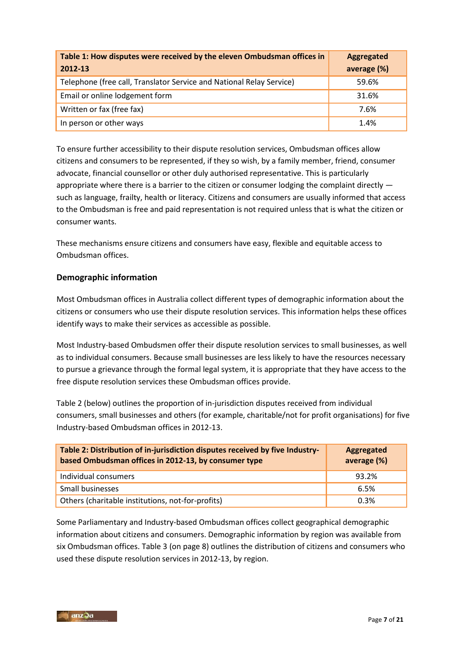| Table 1: How disputes were received by the eleven Ombudsman offices in<br>2012-13 | <b>Aggregated</b><br>average (%) |
|-----------------------------------------------------------------------------------|----------------------------------|
| Telephone (free call, Translator Service and National Relay Service)              | 59.6%                            |
| Email or online lodgement form                                                    | 31.6%                            |
| Written or fax (free fax)                                                         | 7.6%                             |
| In person or other ways                                                           | 1.4%                             |

To ensure further accessibility to their dispute resolution services, Ombudsman offices allow citizens and consumers to be represented, if they so wish, by a family member, friend, consumer advocate, financial counsellor or other duly authorised representative. This is particularly appropriate where there is a barrier to the citizen or consumer lodging the complaint directly such as language, frailty, health or literacy. Citizens and consumers are usually informed that access to the Ombudsman is free and paid representation is not required unless that is what the citizen or consumer wants.

These mechanisms ensure citizens and consumers have easy, flexible and equitable access to Ombudsman offices.

## **Demographic information**

Most Ombudsman offices in Australia collect different types of demographic information about the citizens or consumers who use their dispute resolution services. This information helps these offices identify ways to make their services as accessible as possible.

Most Industry-based Ombudsmen offer their dispute resolution services to small businesses, as well as to individual consumers. Because small businesses are less likely to have the resources necessary to pursue a grievance through the formal legal system, it is appropriate that they have access to the free dispute resolution services these Ombudsman offices provide.

Table 2 (below) outlines the proportion of in-jurisdiction disputes received from individual consumers, small businesses and others (for example, charitable/not for profit organisations) for five Industry-based Ombudsman offices in 2012-13.

| Table 2: Distribution of in-jurisdiction disputes received by five Industry-<br>based Ombudsman offices in 2012-13, by consumer type | Aggregated<br>average (%) |
|--------------------------------------------------------------------------------------------------------------------------------------|---------------------------|
| Individual consumers                                                                                                                 | 93.2%                     |
| Small businesses                                                                                                                     | 6.5%                      |
| Others (charitable institutions, not-for-profits)                                                                                    | 0.3%                      |

Some Parliamentary and Industry-based Ombudsman offices collect geographical demographic information about citizens and consumers. Demographic information by region was available from six Ombudsman offices. Table 3 (on page 8) outlines the distribution of citizens and consumers who used these dispute resolution services in 2012-13, by region.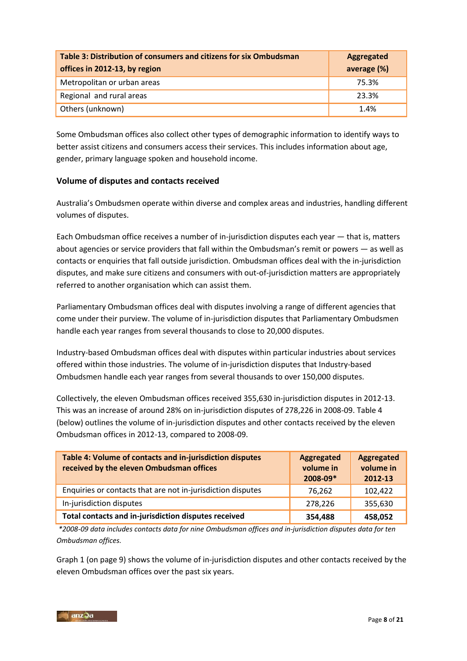| Table 3: Distribution of consumers and citizens for six Ombudsman<br>offices in 2012-13, by region | Aggregated<br>average (%) |
|----------------------------------------------------------------------------------------------------|---------------------------|
| Metropolitan or urban areas                                                                        | 75.3%                     |
| Regional and rural areas                                                                           | 23.3%                     |
| Others (unknown)                                                                                   | 1.4%                      |

Some Ombudsman offices also collect other types of demographic information to identify ways to better assist citizens and consumers access their services. This includes information about age, gender, primary language spoken and household income.

## **Volume of disputes and contacts received**

Australia's Ombudsmen operate within diverse and complex areas and industries, handling different volumes of disputes.

Each Ombudsman office receives a number of in-jurisdiction disputes each year — that is, matters about agencies or service providers that fall within the Ombudsman's remit or powers — as well as contacts or enquiries that fall outside jurisdiction. Ombudsman offices deal with the in-jurisdiction disputes, and make sure citizens and consumers with out-of-jurisdiction matters are appropriately referred to another organisation which can assist them.

Parliamentary Ombudsman offices deal with disputes involving a range of different agencies that come under their purview. The volume of in-jurisdiction disputes that Parliamentary Ombudsmen handle each year ranges from several thousands to close to 20,000 disputes.

Industry-based Ombudsman offices deal with disputes within particular industries about services offered within those industries. The volume of in-jurisdiction disputes that Industry-based Ombudsmen handle each year ranges from several thousands to over 150,000 disputes.

Collectively, the eleven Ombudsman offices received 355,630 in-jurisdiction disputes in 2012-13. This was an increase of around 28% on in-jurisdiction disputes of 278,226 in 2008-09. Table 4 (below) outlines the volume of in-jurisdiction disputes and other contacts received by the eleven Ombudsman offices in 2012-13, compared to 2008-09.

| Table 4: Volume of contacts and in-jurisdiction disputes<br>received by the eleven Ombudsman offices | Aggregated<br>volume in<br>2008-09* | Aggregated<br>volume in<br>2012-13 |
|------------------------------------------------------------------------------------------------------|-------------------------------------|------------------------------------|
| Enquiries or contacts that are not in-jurisdiction disputes                                          | 76,262                              | 102,422                            |
| In-jurisdiction disputes                                                                             | 278,226                             | 355,630                            |
| Total contacts and in-jurisdiction disputes received                                                 | 354,488                             | 458,052                            |

*\*2008-09 data includes contacts data for nine Ombudsman offices and in-jurisdiction disputes data for ten Ombudsman offices.* 

Graph 1 (on page 9) shows the volume of in-jurisdiction disputes and other contacts received by the eleven Ombudsman offices over the past six years.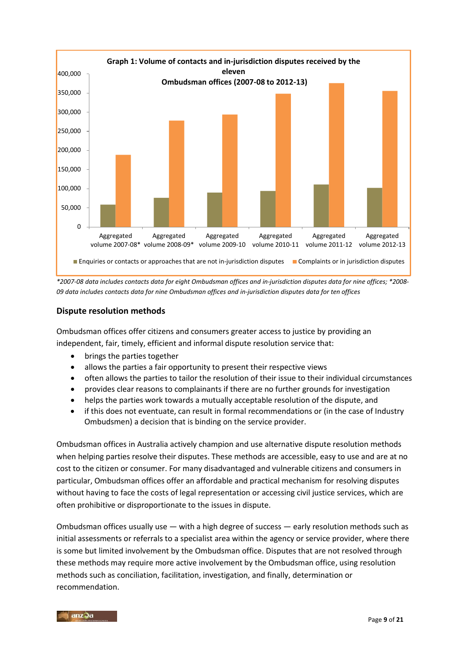

*\*2007-08 data includes contacts data for eight Ombudsman offices and in-jurisdiction disputes data for nine offices; \*2008- 09 data includes contacts data for nine Ombudsman offices and in-jurisdiction disputes data for ten offices* 

#### **Dispute resolution methods**

Ombudsman offices offer citizens and consumers greater access to justice by providing an independent, fair, timely, efficient and informal dispute resolution service that:

- brings the parties together
- allows the parties a fair opportunity to present their respective views
- often allows the parties to tailor the resolution of their issue to their individual circumstances
- provides clear reasons to complainants if there are no further grounds for investigation
- helps the parties work towards a mutually acceptable resolution of the dispute, and
- if this does not eventuate, can result in formal recommendations or (in the case of Industry Ombudsmen) a decision that is binding on the service provider.

Ombudsman offices in Australia actively champion and use alternative dispute resolution methods when helping parties resolve their disputes. These methods are accessible, easy to use and are at no cost to the citizen or consumer. For many disadvantaged and vulnerable citizens and consumers in particular, Ombudsman offices offer an affordable and practical mechanism for resolving disputes without having to face the costs of legal representation or accessing civil justice services, which are often prohibitive or disproportionate to the issues in dispute.

Ombudsman offices usually use — with a high degree of success — early resolution methods such as initial assessments or referrals to a specialist area within the agency or service provider, where there is some but limited involvement by the Ombudsman office. Disputes that are not resolved through these methods may require more active involvement by the Ombudsman office, using resolution methods such as conciliation, facilitation, investigation, and finally, determination or recommendation.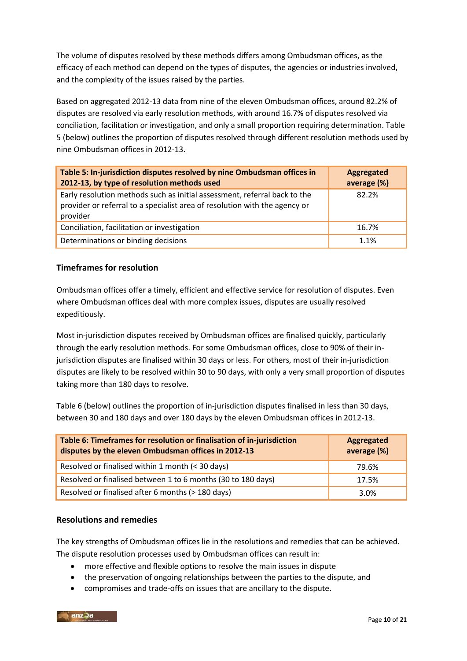The volume of disputes resolved by these methods differs among Ombudsman offices, as the efficacy of each method can depend on the types of disputes, the agencies or industries involved, and the complexity of the issues raised by the parties.

Based on aggregated 2012-13 data from nine of the eleven Ombudsman offices, around 82.2% of disputes are resolved via early resolution methods, with around 16.7% of disputes resolved via conciliation, facilitation or investigation, and only a small proportion requiring determination. Table 5 (below) outlines the proportion of disputes resolved through different resolution methods used by nine Ombudsman offices in 2012-13.

| Table 5: In-jurisdiction disputes resolved by nine Ombudsman offices in<br>2012-13, by type of resolution methods used                                              | <b>Aggregated</b><br>average (%) |
|---------------------------------------------------------------------------------------------------------------------------------------------------------------------|----------------------------------|
| Early resolution methods such as initial assessment, referral back to the<br>provider or referral to a specialist area of resolution with the agency or<br>provider | 82.2%                            |
| Conciliation, facilitation or investigation                                                                                                                         | 16.7%                            |
| Determinations or binding decisions                                                                                                                                 | 1.1%                             |

## **Timeframes for resolution**

Ombudsman offices offer a timely, efficient and effective service for resolution of disputes. Even where Ombudsman offices deal with more complex issues, disputes are usually resolved expeditiously.

Most in-jurisdiction disputes received by Ombudsman offices are finalised quickly, particularly through the early resolution methods. For some Ombudsman offices, close to 90% of their injurisdiction disputes are finalised within 30 days or less. For others, most of their in-jurisdiction disputes are likely to be resolved within 30 to 90 days, with only a very small proportion of disputes taking more than 180 days to resolve.

Table 6 (below) outlines the proportion of in-jurisdiction disputes finalised in less than 30 days, between 30 and 180 days and over 180 days by the eleven Ombudsman offices in 2012-13.

| Table 6: Timeframes for resolution or finalisation of in-jurisdiction<br>disputes by the eleven Ombudsman offices in 2012-13 | Aggregated<br>average (%) |
|------------------------------------------------------------------------------------------------------------------------------|---------------------------|
| Resolved or finalised within 1 month (< 30 days)                                                                             | 79.6%                     |
| Resolved or finalised between 1 to 6 months (30 to 180 days)                                                                 | 17.5%                     |
| Resolved or finalised after 6 months (> 180 days)                                                                            | 3.0%                      |

#### **Resolutions and remedies**

The key strengths of Ombudsman offices lie in the resolutions and remedies that can be achieved. The dispute resolution processes used by Ombudsman offices can result in:

- more effective and flexible options to resolve the main issues in dispute
- the preservation of ongoing relationships between the parties to the dispute, and
- compromises and trade-offs on issues that are ancillary to the dispute.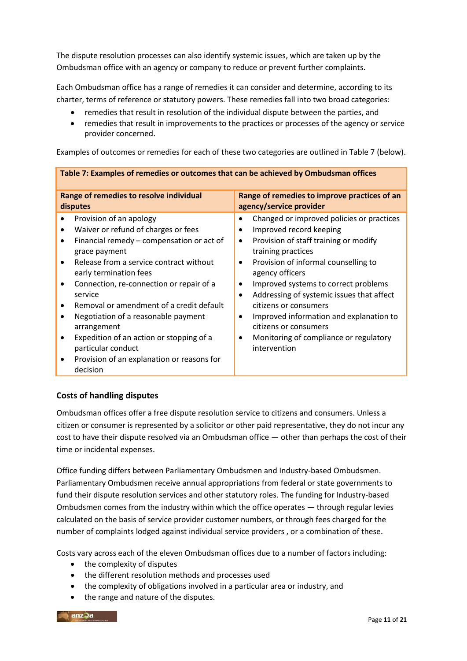The dispute resolution processes can also identify systemic issues, which are taken up by the Ombudsman office with an agency or company to reduce or prevent further complaints.

Each Ombudsman office has a range of remedies it can consider and determine, according to its charter, terms of reference or statutory powers. These remedies fall into two broad categories:

- remedies that result in resolution of the individual dispute between the parties, and
- remedies that result in improvements to the practices or processes of the agency or service provider concerned.

Examples of outcomes or remedies for each of these two categories are outlined in Table 7 (below).

| Table 7: Examples of remedies or outcomes that can be achieved by Ombudsman offices                                                                                                                                                                                                                                                                                                                                                                                                                                |                                                                                                                                                                                                                                                                                                                                                                                                                                                                                                                                            |  |
|--------------------------------------------------------------------------------------------------------------------------------------------------------------------------------------------------------------------------------------------------------------------------------------------------------------------------------------------------------------------------------------------------------------------------------------------------------------------------------------------------------------------|--------------------------------------------------------------------------------------------------------------------------------------------------------------------------------------------------------------------------------------------------------------------------------------------------------------------------------------------------------------------------------------------------------------------------------------------------------------------------------------------------------------------------------------------|--|
| Range of remedies to resolve individual<br>disputes                                                                                                                                                                                                                                                                                                                                                                                                                                                                | Range of remedies to improve practices of an<br>agency/service provider                                                                                                                                                                                                                                                                                                                                                                                                                                                                    |  |
| Provision of an apology<br>Waiver or refund of charges or fees<br>Financial remedy – compensation or act of<br>٠<br>grace payment<br>Release from a service contract without<br>$\bullet$<br>early termination fees<br>Connection, re-connection or repair of a<br>service<br>Removal or amendment of a credit default<br>٠<br>Negotiation of a reasonable payment<br>٠<br>arrangement<br>Expedition of an action or stopping of a<br>particular conduct<br>Provision of an explanation or reasons for<br>decision | Changed or improved policies or practices<br>$\bullet$<br>Improved record keeping<br>$\bullet$<br>Provision of staff training or modify<br>$\bullet$<br>training practices<br>Provision of informal counselling to<br>$\bullet$<br>agency officers<br>Improved systems to correct problems<br>٠<br>Addressing of systemic issues that affect<br>$\bullet$<br>citizens or consumers<br>Improved information and explanation to<br>$\bullet$<br>citizens or consumers<br>Monitoring of compliance or regulatory<br>$\bullet$<br>intervention |  |

## **Costs of handling disputes**

Ombudsman offices offer a free dispute resolution service to citizens and consumers. Unless a citizen or consumer is represented by a solicitor or other paid representative, they do not incur any cost to have their dispute resolved via an Ombudsman office — other than perhaps the cost of their time or incidental expenses.

Office funding differs between Parliamentary Ombudsmen and Industry-based Ombudsmen. Parliamentary Ombudsmen receive annual appropriations from federal or state governments to fund their dispute resolution services and other statutory roles. The funding for Industry-based Ombudsmen comes from the industry within which the office operates — through regular levies calculated on the basis of service provider customer numbers, or through fees charged for the number of complaints lodged against individual service providers , or a combination of these.

Costs vary across each of the eleven Ombudsman offices due to a number of factors including:

- the complexity of disputes
- the different resolution methods and processes used
- the complexity of obligations involved in a particular area or industry, and
- the range and nature of the disputes.

anz3a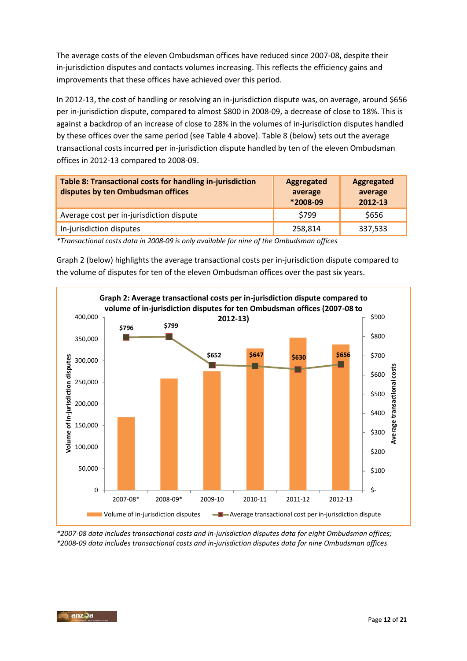The average costs of the eleven Ombudsman offices have reduced since 2007-08, despite their in-jurisdiction disputes and contacts volumes increasing. This reflects the efficiency gains and improvements that these offices have achieved over this period.

In 2012-13, the cost of handling or resolving an in-jurisdiction dispute was, on average, around \$656 per in-jurisdiction dispute, compared to almost \$800 in 2008-09, a decrease of close to 18%. This is against a backdrop of an increase of close to 28% in the volumes of in-jurisdiction disputes handled by these offices over the same period (see Table 4 above). Table 8 (below) sets out the average transactional costs incurred per in-jurisdiction dispute handled by ten of the eleven Ombudsman offices in 2012-13 compared to 2008-09.

| Table 8: Transactional costs for handling in-jurisdiction<br>disputes by ten Ombudsman offices | Aggregated<br>average<br>*2008-09 | Aggregated<br>average<br>2012-13 |
|------------------------------------------------------------------------------------------------|-----------------------------------|----------------------------------|
| Average cost per in-jurisdiction dispute                                                       | \$799                             | \$656                            |
| In-jurisdiction disputes                                                                       | 258,814                           | 337,533                          |

*\*Transactional costs data in 2008-09 is only available for nine of the Ombudsman offices*

Graph 2 (below) highlights the average transactional costs per in-jurisdiction dispute compared to the volume of disputes for ten of the eleven Ombudsman offices over the past six years.



*\*2007-08 data includes transactional costs and in-jurisdiction disputes data for eight Ombudsman offices; \*2008-09 data includes transactional costs and in-jurisdiction disputes data for nine Ombudsman offices*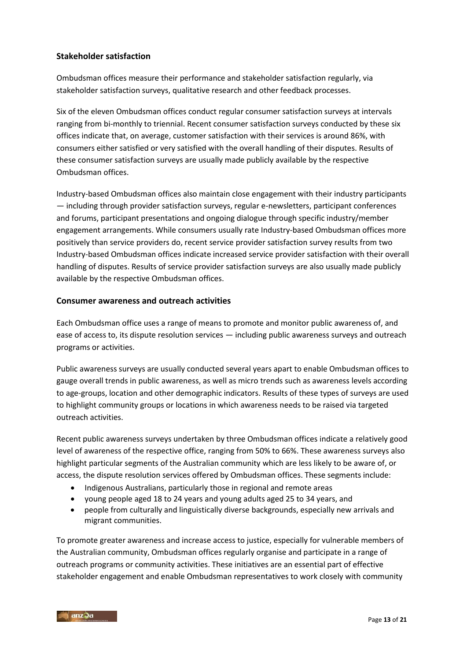### **Stakeholder satisfaction**

Ombudsman offices measure their performance and stakeholder satisfaction regularly, via stakeholder satisfaction surveys, qualitative research and other feedback processes.

Six of the eleven Ombudsman offices conduct regular consumer satisfaction surveys at intervals ranging from bi-monthly to triennial. Recent consumer satisfaction surveys conducted by these six offices indicate that, on average, customer satisfaction with their services is around 86%, with consumers either satisfied or very satisfied with the overall handling of their disputes. Results of these consumer satisfaction surveys are usually made publicly available by the respective Ombudsman offices.

Industry-based Ombudsman offices also maintain close engagement with their industry participants — including through provider satisfaction surveys, regular e-newsletters, participant conferences and forums, participant presentations and ongoing dialogue through specific industry/member engagement arrangements. While consumers usually rate Industry-based Ombudsman offices more positively than service providers do, recent service provider satisfaction survey results from two Industry-based Ombudsman offices indicate increased service provider satisfaction with their overall handling of disputes. Results of service provider satisfaction surveys are also usually made publicly available by the respective Ombudsman offices.

#### **Consumer awareness and outreach activities**

Each Ombudsman office uses a range of means to promote and monitor public awareness of, and ease of access to, its dispute resolution services — including public awareness surveys and outreach programs or activities.

Public awareness surveys are usually conducted several years apart to enable Ombudsman offices to gauge overall trends in public awareness, as well as micro trends such as awareness levels according to age-groups, location and other demographic indicators. Results of these types of surveys are used to highlight community groups or locations in which awareness needs to be raised via targeted outreach activities.

Recent public awareness surveys undertaken by three Ombudsman offices indicate a relatively good level of awareness of the respective office, ranging from 50% to 66%. These awareness surveys also highlight particular segments of the Australian community which are less likely to be aware of, or access, the dispute resolution services offered by Ombudsman offices. These segments include:

- Indigenous Australians, particularly those in regional and remote areas
- young people aged 18 to 24 years and young adults aged 25 to 34 years, and
- people from culturally and linguistically diverse backgrounds, especially new arrivals and migrant communities.

To promote greater awareness and increase access to justice, especially for vulnerable members of the Australian community, Ombudsman offices regularly organise and participate in a range of outreach programs or community activities. These initiatives are an essential part of effective stakeholder engagement and enable Ombudsman representatives to work closely with community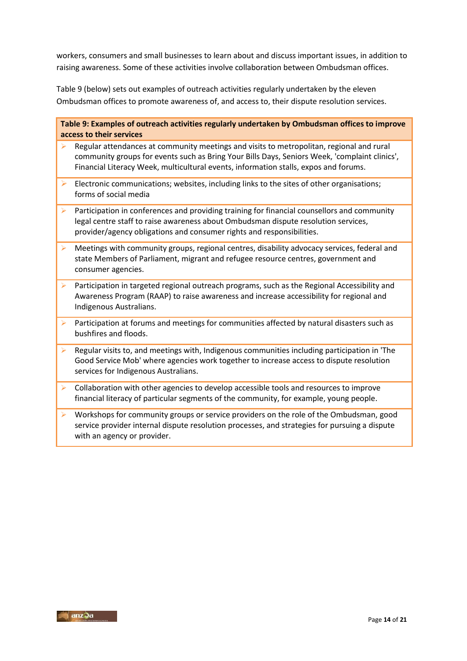workers, consumers and small businesses to learn about and discuss important issues, in addition to raising awareness. Some of these activities involve collaboration between Ombudsman offices.

Table 9 (below) sets out examples of outreach activities regularly undertaken by the eleven Ombudsman offices to promote awareness of, and access to, their dispute resolution services.

**Table 9: Examples of outreach activities regularly undertaken by Ombudsman offices to improve access to their services**

- Regular attendances at community meetings and visits to metropolitan, regional and rural community groups for events such as Bring Your Bills Days, Seniors Week, 'complaint clinics', Financial Literacy Week, multicultural events, information stalls, expos and forums.
- Electronic communications; websites, including links to the sites of other organisations; forms of social media
- Participation in conferences and providing training for financial counsellors and community legal centre staff to raise awareness about Ombudsman dispute resolution services, provider/agency obligations and consumer rights and responsibilities.
- $\triangleright$  Meetings with community groups, regional centres, disability advocacy services, federal and state Members of Parliament, migrant and refugee resource centres, government and consumer agencies.
- **Participation in targeted regional outreach programs, such as the Regional Accessibility and** Awareness Program (RAAP) to raise awareness and increase accessibility for regional and Indigenous Australians.
- Participation at forums and meetings for communities affected by natural disasters such as bushfires and floods.
- Regular visits to, and meetings with, Indigenous communities including participation in 'The Good Service Mob' where agencies work together to increase access to dispute resolution services for Indigenous Australians.
- $\triangleright$  Collaboration with other agencies to develop accessible tools and resources to improve financial literacy of particular segments of the community, for example, young people.
- Workshops for community groups or service providers on the role of the Ombudsman, good service provider internal dispute resolution processes, and strategies for pursuing a dispute with an agency or provider.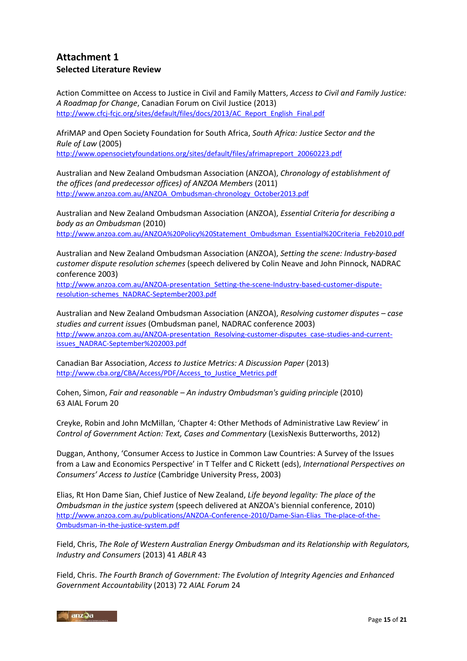# **Attachment 1 Selected Literature Review**

Action Committee on Access to Justice in Civil and Family Matters, *Access to Civil and Family Justice: A Roadmap for Change*, Canadian Forum on Civil Justice (2013) [http://www.cfcj-fcjc.org/sites/default/files/docs/2013/AC\\_Report\\_English\\_Final.pdf](http://www.cfcj-fcjc.org/sites/default/files/docs/2013/AC_Report_English_Final.pdf)

AfriMAP and Open Society Foundation for South Africa, *South Africa: Justice Sector and the Rule of Law* (2005) [http://www.opensocietyfoundations.org/sites/default/files/afrimapreport\\_20060223.pdf](http://www.opensocietyfoundations.org/sites/default/files/afrimapreport_20060223.pdf)

Australian and New Zealand Ombudsman Association (ANZOA), *Chronology of establishment of the offices (and predecessor offices) of ANZOA Members* (2011)

[http://www.anzoa.com.au/ANZOA\\_Ombudsman-chronology\\_October2013.pdf](http://www.anzoa.com.au/ANZOA_Ombudsman-chronology_October2013.pdf)

Australian and New Zealand Ombudsman Association (ANZOA), *Essential Criteria for describing a body as an Ombudsman* (2010) [http://www.anzoa.com.au/ANZOA%20Policy%20Statement\\_Ombudsman\\_Essential%20Criteria\\_Feb2010.pdf](http://www.anzoa.com.au/ANZOA%20Policy%20Statement_Ombudsman_Essential%20Criteria_Feb2010.pdf)

Australian and New Zealand Ombudsman Association (ANZOA), *Setting the scene: Industry-based customer dispute resolution schemes* (speech delivered by Colin Neave and John Pinnock, NADRAC conference 2003)

[http://www.anzoa.com.au/ANZOA-presentation\\_Setting-the-scene-Industry-based-customer-dispute](http://www.anzoa.com.au/ANZOA-presentation_Setting-the-scene-Industry-based-customer-dispute-resolution-schemes_NADRAC-September2003.pdf)[resolution-schemes\\_NADRAC-September2003.pdf](http://www.anzoa.com.au/ANZOA-presentation_Setting-the-scene-Industry-based-customer-dispute-resolution-schemes_NADRAC-September2003.pdf)

Australian and New Zealand Ombudsman Association (ANZOA), *Resolving customer disputes – case studies and current issues* (Ombudsman panel, NADRAC conference 2003) [http://www.anzoa.com.au/ANZOA-presentation\\_Resolving-customer-disputes\\_case-studies-and-current](http://www.anzoa.com.au/ANZOA-presentation_Resolving-customer-disputes_case-studies-and-current-issues_NADRAC-September%202003.pdf)[issues\\_NADRAC-September%202003.pdf](http://www.anzoa.com.au/ANZOA-presentation_Resolving-customer-disputes_case-studies-and-current-issues_NADRAC-September%202003.pdf)

Canadian Bar Association, *Access to Justice Metrics: A Discussion Paper* (2013) [http://www.cba.org/CBA/Access/PDF/Access\\_to\\_Justice\\_Metrics.pdf](http://www.cba.org/CBA/Access/PDF/Access_to_Justice_Metrics.pdf)

Cohen, Simon, *Fair and reasonable – An industry Ombudsman's guiding principle* (2010) 63 AIAL Forum 20

Creyke, Robin and John McMillan, 'Chapter 4: Other Methods of Administrative Law Review' in *Control of Government Action: Text, Cases and Commentary* (LexisNexis Butterworths, 2012)

Duggan, Anthony, 'Consumer Access to Justice in Common Law Countries: A Survey of the Issues from a Law and Economics Perspective' in T Telfer and C Rickett (eds), *International Perspectives on Consumers' Access to Justice* (Cambridge University Press, 2003)

Elias, Rt Hon Dame Sian, Chief Justice of New Zealand, *Life beyond legality: The place of the Ombudsman in the justice system* (speech delivered at ANZOA's biennial conference, 2010) [http://www.anzoa.com.au/publications/ANZOA-Conference-2010/Dame-Sian-Elias\\_The-place-of-the-](http://www.anzoa.com.au/publications/ANZOA-Conference-2010/Dame-Sian-Elias_The-place-of-the-Ombudsman-in-the-justice-system.pdf)[Ombudsman-in-the-justice-system.pdf](http://www.anzoa.com.au/publications/ANZOA-Conference-2010/Dame-Sian-Elias_The-place-of-the-Ombudsman-in-the-justice-system.pdf)

Field, Chris, *The Role of Western Australian Energy Ombudsman and its Relationship with Regulators, Industry and Consumers* (2013) 41 *ABLR* 43

Field, Chris. *The Fourth Branch of Government: The Evolution of Integrity Agencies and Enhanced Government Accountability* (2013) 72 *AIAL Forum* 24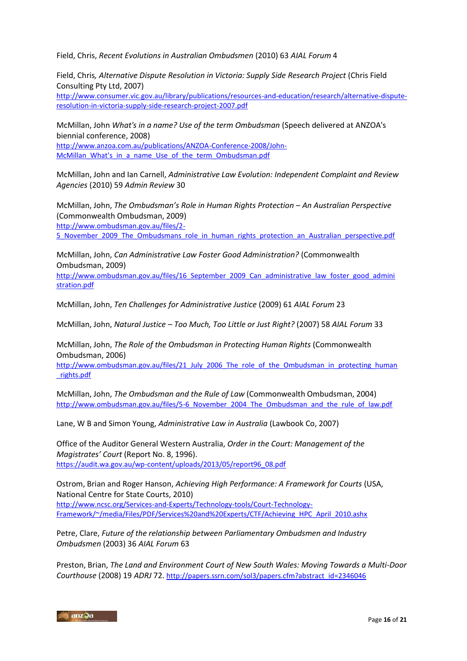Field, Chris, *Recent Evolutions in Australian Ombudsmen* (2010) 63 *AIAL Forum* 4

Field, Chris*, Alternative Dispute Resolution in Victoria: Supply Side Research Project* (Chris Field Consulting Pty Ltd, 2007)

[http://www.consumer.vic.gov.au/library/publications/resources-and-education/research/alternative-dispute](http://www.consumer.vic.gov.au/library/publications/resources-and-education/research/alternative-dispute-resolution-in-victoria-supply-side-research-project-2007.pdf)[resolution-in-victoria-supply-side-research-project-2007.pdf](http://www.consumer.vic.gov.au/library/publications/resources-and-education/research/alternative-dispute-resolution-in-victoria-supply-side-research-project-2007.pdf)

McMillan, John *What's in a name? Use of the term Ombudsman* (Speech delivered at ANZOA's biennial conference, 2008) [http://www.anzoa.com.au/publications/ANZOA-Conference-2008/John-](http://www.anzoa.com.au/publications/ANZOA-Conference-2008/John-McMillan_What)[McMillan\\_What's\\_in\\_a\\_name\\_Use\\_of\\_the\\_term\\_Ombudsman.pdf](http://www.anzoa.com.au/publications/ANZOA-Conference-2008/John-McMillan_What)

McMillan, John and Ian Carnell, *Administrative Law Evolution: Independent Complaint and Review Agencies* (2010) 59 *Admin Review* 30

McMillan, John, *The Ombudsman's Role in Human Rights Protection – An Australian Perspective* (Commonwealth Ombudsman, 2009) [http://www.ombudsman.gov.au/files/2-](http://www.ombudsman.gov.au/files/2-5_November_2009_The_Ombudsmans_role_in_human_rights_protection_an_Australian_perspective.pdf) 5 November 2009 The Ombudsmans role in human rights protection an Australian perspective.pdf

McMillan, John, *Can Administrative Law Foster Good Administration?* (Commonwealth Ombudsman, 2009)

http://www.ombudsman.gov.au/files/16 September 2009 Can administrative law foster good admini [stration.pdf](http://www.ombudsman.gov.au/files/16_September_2009_Can_administrative_law_foster_good_administration.pdf)

McMillan, John, *Ten Challenges for Administrative Justice* (2009) 61 *AIAL Forum* 23

McMillan, John, *Natural Justice – Too Much, Too Little or Just Right?* (2007) 58 *AIAL Forum* 33

McMillan, John, *The Role of the Ombudsman in Protecting Human Rights* (Commonwealth Ombudsman, 2006)

[http://www.ombudsman.gov.au/files/21\\_July\\_2006\\_The\\_role\\_of\\_the\\_Ombudsman\\_in\\_protecting\\_human](http://www.ombudsman.gov.au/files/21_July_2006_The_role_of_the_Ombudsman_in_protecting_human_rights.pdf) [\\_rights.pdf](http://www.ombudsman.gov.au/files/21_July_2006_The_role_of_the_Ombudsman_in_protecting_human_rights.pdf)

McMillan, John, *The Ombudsman and the Rule of Law* (Commonwealth Ombudsman, 2004) [http://www.ombudsman.gov.au/files/5-6\\_November\\_2004\\_The\\_Ombudsman\\_and\\_the\\_rule\\_of\\_law.pdf](http://www.ombudsman.gov.au/files/5-6_November_2004_The_Ombudsman_and_the_rule_of_law.pdf)

Lane, W B and Simon Young, *Administrative Law in Australia* (Lawbook Co, 2007)

Office of the Auditor General Western Australia, *Order in the Court: Management of the Magistrates' Court* (Report No. 8, 1996). [https://audit.wa.gov.au/wp-content/uploads/2013/05/report96\\_08.pdf](https://audit.wa.gov.au/wp-content/uploads/2013/05/report96_08.pdf)

Ostrom, Brian and Roger Hanson, *Achieving High Performance: A Framework for Courts* (USA, National Centre for State Courts, 2010) [http://www.ncsc.org/Services-and-Experts/Technology-tools/Court-Technology-](http://www.ncsc.org/Services-and-Experts/Technology-tools/Court-Technology-Framework/~/media/Files/PDF/Services%20and%20Experts/CTF/Achieving_HPC_April_2010.ashx)[Framework/~/media/Files/PDF/Services%20and%20Experts/CTF/Achieving\\_HPC\\_April\\_2010.ashx](http://www.ncsc.org/Services-and-Experts/Technology-tools/Court-Technology-Framework/~/media/Files/PDF/Services%20and%20Experts/CTF/Achieving_HPC_April_2010.ashx)

Petre, Clare, *Future of the relationship between Parliamentary Ombudsmen and Industry Ombudsmen* (2003) 36 *AIAL Forum* 63

Preston, Brian, *The Land and Environment Court of New South Wales: Moving Towards a Multi-Door Courthouse* (2008) 19 *ADRJ* 72. [http://papers.ssrn.com/sol3/papers.cfm?abstract\\_id=2346046](http://papers.ssrn.com/sol3/papers.cfm?abstract_id=2346046)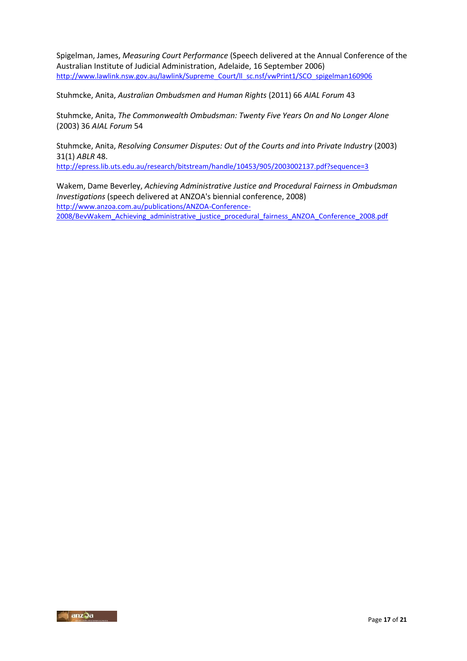Spigelman, James, *Measuring Court Performance* (Speech delivered at the Annual Conference of the Australian Institute of Judicial Administration, Adelaide, 16 September 2006) http://www.lawlink.nsw.gov.au/lawlink/Supreme\_Court/II\_sc.nsf/vwPrint1/SCO\_spigelman160906

Stuhmcke, Anita, *Australian Ombudsmen and Human Rights* (2011) 66 *AIAL Forum* 43

Stuhmcke, Anita, *The Commonwealth Ombudsman: Twenty Five Years On and No Longer Alone* (2003) 36 *AIAL Forum* 54

Stuhmcke, Anita, *Resolving Consumer Disputes: Out of the Courts and into Private Industry* (2003) 31(1) *ABLR* 48.

<http://epress.lib.uts.edu.au/research/bitstream/handle/10453/905/2003002137.pdf?sequence=3>

Wakem, Dame Beverley, *Achieving Administrative Justice and Procedural Fairness in Ombudsman Investigations* (speech delivered at ANZOA's biennial conference, 2008) [http://www.anzoa.com.au/publications/ANZOA-Conference-](http://www.anzoa.com.au/publications/ANZOA-Conference-2008/BevWakem_Achieving_administrative_justice_procedural_fairness_ANZOA_Conference_2008.pdf)[2008/BevWakem\\_Achieving\\_administrative\\_justice\\_procedural\\_fairness\\_ANZOA\\_Conference\\_2008.pdf](http://www.anzoa.com.au/publications/ANZOA-Conference-2008/BevWakem_Achieving_administrative_justice_procedural_fairness_ANZOA_Conference_2008.pdf)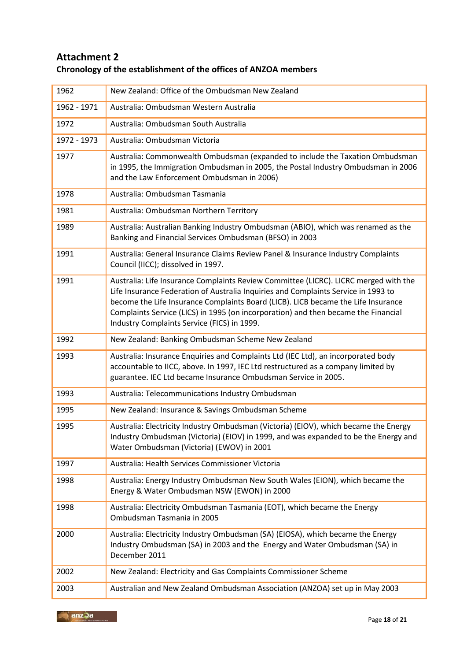# **Attachment 2 Chronology of the establishment of the offices of ANZOA members**

| 1962        | New Zealand: Office of the Ombudsman New Zealand                                                                                                                                                                                                                                                                                                                                                     |
|-------------|------------------------------------------------------------------------------------------------------------------------------------------------------------------------------------------------------------------------------------------------------------------------------------------------------------------------------------------------------------------------------------------------------|
| 1962 - 1971 | Australia: Ombudsman Western Australia                                                                                                                                                                                                                                                                                                                                                               |
| 1972        | Australia: Ombudsman South Australia                                                                                                                                                                                                                                                                                                                                                                 |
| 1972 - 1973 | Australia: Ombudsman Victoria                                                                                                                                                                                                                                                                                                                                                                        |
| 1977        | Australia: Commonwealth Ombudsman (expanded to include the Taxation Ombudsman<br>in 1995, the Immigration Ombudsman in 2005, the Postal Industry Ombudsman in 2006<br>and the Law Enforcement Ombudsman in 2006)                                                                                                                                                                                     |
| 1978        | Australia: Ombudsman Tasmania                                                                                                                                                                                                                                                                                                                                                                        |
| 1981        | Australia: Ombudsman Northern Territory                                                                                                                                                                                                                                                                                                                                                              |
| 1989        | Australia: Australian Banking Industry Ombudsman (ABIO), which was renamed as the<br>Banking and Financial Services Ombudsman (BFSO) in 2003                                                                                                                                                                                                                                                         |
| 1991        | Australia: General Insurance Claims Review Panel & Insurance Industry Complaints<br>Council (IICC); dissolved in 1997.                                                                                                                                                                                                                                                                               |
| 1991        | Australia: Life Insurance Complaints Review Committee (LICRC). LICRC merged with the<br>Life Insurance Federation of Australia Inquiries and Complaints Service in 1993 to<br>become the Life Insurance Complaints Board (LICB). LICB became the Life Insurance<br>Complaints Service (LICS) in 1995 (on incorporation) and then became the Financial<br>Industry Complaints Service (FICS) in 1999. |
| 1992        | New Zealand: Banking Ombudsman Scheme New Zealand                                                                                                                                                                                                                                                                                                                                                    |
| 1993        | Australia: Insurance Enquiries and Complaints Ltd (IEC Ltd), an incorporated body<br>accountable to IICC, above. In 1997, IEC Ltd restructured as a company limited by<br>guarantee. IEC Ltd became Insurance Ombudsman Service in 2005.                                                                                                                                                             |
| 1993        | Australia: Telecommunications Industry Ombudsman                                                                                                                                                                                                                                                                                                                                                     |
| 1995        | New Zealand: Insurance & Savings Ombudsman Scheme                                                                                                                                                                                                                                                                                                                                                    |
| 1995        | Australia: Electricity Industry Ombudsman (Victoria) (EIOV), which became the Energy<br>Industry Ombudsman (Victoria) (EIOV) in 1999, and was expanded to be the Energy and<br>Water Ombudsman (Victoria) (EWOV) in 2001                                                                                                                                                                             |
| 1997        | Australia: Health Services Commissioner Victoria                                                                                                                                                                                                                                                                                                                                                     |
| 1998        | Australia: Energy Industry Ombudsman New South Wales (EION), which became the<br>Energy & Water Ombudsman NSW (EWON) in 2000                                                                                                                                                                                                                                                                         |
| 1998        | Australia: Electricity Ombudsman Tasmania (EOT), which became the Energy<br>Ombudsman Tasmania in 2005                                                                                                                                                                                                                                                                                               |
| 2000        | Australia: Electricity Industry Ombudsman (SA) (EIOSA), which became the Energy<br>Industry Ombudsman (SA) in 2003 and the Energy and Water Ombudsman (SA) in<br>December 2011                                                                                                                                                                                                                       |
| 2002        | New Zealand: Electricity and Gas Complaints Commissioner Scheme                                                                                                                                                                                                                                                                                                                                      |
| 2003        | Australian and New Zealand Ombudsman Association (ANZOA) set up in May 2003                                                                                                                                                                                                                                                                                                                          |

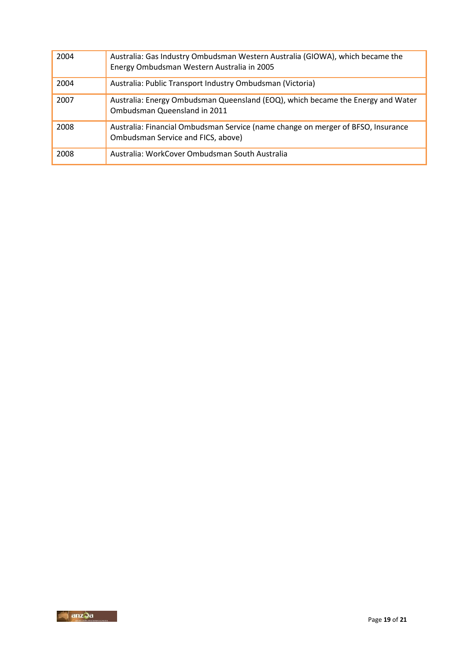| 2004 | Australia: Gas Industry Ombudsman Western Australia (GIOWA), which became the<br>Energy Ombudsman Western Australia in 2005 |
|------|-----------------------------------------------------------------------------------------------------------------------------|
| 2004 | Australia: Public Transport Industry Ombudsman (Victoria)                                                                   |
| 2007 | Australia: Energy Ombudsman Queensland (EOQ), which became the Energy and Water<br>Ombudsman Queensland in 2011             |
| 2008 | Australia: Financial Ombudsman Service (name change on merger of BFSO, Insurance<br>Ombudsman Service and FICS, above)      |
| 2008 | Australia: WorkCover Ombudsman South Australia                                                                              |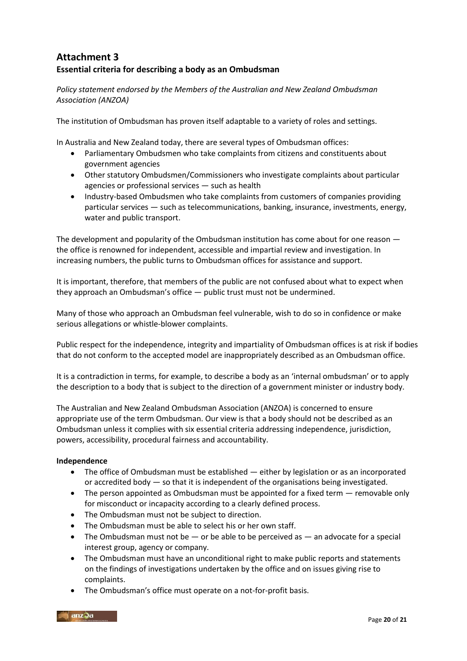# **Attachment 3 Essential criteria for describing a body as an Ombudsman**

*Policy statement endorsed by the Members of the Australian and New Zealand Ombudsman Association (ANZOA)* 

The institution of Ombudsman has proven itself adaptable to a variety of roles and settings.

In Australia and New Zealand today, there are several types of Ombudsman offices:

- Parliamentary Ombudsmen who take complaints from citizens and constituents about government agencies
- Other statutory Ombudsmen/Commissioners who investigate complaints about particular agencies or professional services — such as health
- Industry-based Ombudsmen who take complaints from customers of companies providing particular services — such as telecommunications, banking, insurance, investments, energy, water and public transport.

The development and popularity of the Ombudsman institution has come about for one reason the office is renowned for independent, accessible and impartial review and investigation. In increasing numbers, the public turns to Ombudsman offices for assistance and support.

It is important, therefore, that members of the public are not confused about what to expect when they approach an Ombudsman's office — public trust must not be undermined.

Many of those who approach an Ombudsman feel vulnerable, wish to do so in confidence or make serious allegations or whistle-blower complaints.

Public respect for the independence, integrity and impartiality of Ombudsman offices is at risk if bodies that do not conform to the accepted model are inappropriately described as an Ombudsman office.

It is a contradiction in terms, for example, to describe a body as an 'internal ombudsman' or to apply the description to a body that is subject to the direction of a government minister or industry body.

The Australian and New Zealand Ombudsman Association (ANZOA) is concerned to ensure appropriate use of the term Ombudsman. Our view is that a body should not be described as an Ombudsman unless it complies with six essential criteria addressing independence, jurisdiction, powers, accessibility, procedural fairness and accountability.

#### **Independence**

- The office of Ombudsman must be established either by legislation or as an incorporated or accredited body — so that it is independent of the organisations being investigated.
- The person appointed as Ombudsman must be appointed for a fixed term removable only for misconduct or incapacity according to a clearly defined process.
- The Ombudsman must not be subject to direction.
- The Ombudsman must be able to select his or her own staff.
- $\bullet$  The Ombudsman must not be  $-$  or be able to be perceived as  $-$  an advocate for a special interest group, agency or company.
- The Ombudsman must have an unconditional right to make public reports and statements on the findings of investigations undertaken by the office and on issues giving rise to complaints.
- The Ombudsman's office must operate on a not-for-profit basis.

 $\sqrt{a}$  anz $\sqrt{a}$